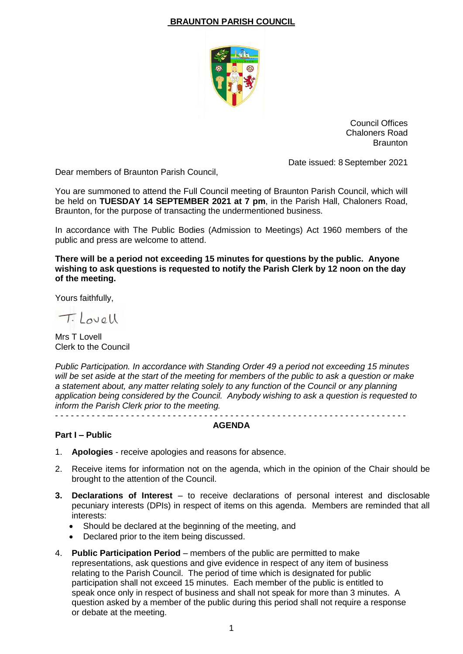## **BRAUNTON PARISH COUNCIL**



Council Offices Chaloners Road **Braunton** 

Date issued: 8 September 2021

Dear members of Braunton Parish Council,

You are summoned to attend the Full Council meeting of Braunton Parish Council, which will be held on **TUESDAY 14 SEPTEMBER 2021 at 7 pm**, in the Parish Hall, Chaloners Road, Braunton, for the purpose of transacting the undermentioned business.

In accordance with The Public Bodies (Admission to Meetings) Act 1960 members of the public and press are welcome to attend.

**There will be a period not exceeding 15 minutes for questions by the public. Anyone wishing to ask questions is requested to notify the Parish Clerk by 12 noon on the day of the meeting.**

Yours faithfully,

Tilovell

Mrs T Lovell Clerk to the Council

*Public Participation. In accordance with Standing Order 49 a period not exceeding 15 minutes will be set aside at the start of the meeting for members of the public to ask a question or make a statement about, any matter relating solely to any function of the Council or any planning application being considered by the Council. Anybody wishing to ask a question is requested to inform the Parish Clerk prior to the meeting.* - - - - - - - - - - -- - - - - - - - - - - - - - - - - - - - - - - - - - - - - - - - - - - - - - - - - - - - - - - - - - - - - - - - -

**AGENDA**

## **Part I – Public**

- 1. **Apologies** receive apologies and reasons for absence.
- 2. Receive items for information not on the agenda, which in the opinion of the Chair should be brought to the attention of the Council.
- **3. Declarations of Interest** to receive declarations of personal interest and disclosable pecuniary interests (DPIs) in respect of items on this agenda. Members are reminded that all interests:
	- Should be declared at the beginning of the meeting, and
	- Declared prior to the item being discussed.
- 4. **Public Participation Period** members of the public are permitted to make representations, ask questions and give evidence in respect of any item of business relating to the Parish Council. The period of time which is designated for public participation shall not exceed 15 minutes. Each member of the public is entitled to speak once only in respect of business and shall not speak for more than 3 minutes. A question asked by a member of the public during this period shall not require a response or debate at the meeting.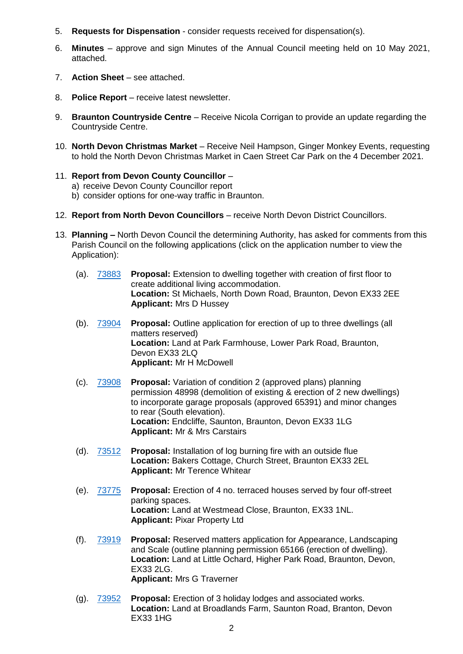- 5. **Requests for Dispensation** consider requests received for dispensation(s).
- 6. **Minutes** approve and sign Minutes of the Annual Council meeting held on 10 May 2021, attached.
- 7. **Action Sheet** see attached.
- 8. **Police Report** receive latest newsletter.
- 9. **Braunton Countryside Centre** Receive Nicola Corrigan to provide an update regarding the Countryside Centre.
- 10. **North Devon Christmas Market** Receive Neil Hampson, Ginger Monkey Events, requesting to hold the North Devon Christmas Market in Caen Street Car Park on the 4 December 2021.
- 11. **Report from Devon County Councillor**
	- a) receive Devon County Councillor report
	- b) consider options for one-way traffic in Braunton.
- 12. **Report from North Devon Councillors** receive North Devon District Councillors.
- 13. **Planning –** North Devon Council the determining Authority, has asked for comments from this Parish Council on the following applications (click on the application number to view the Application):
	- (a). [73883](https://planning.northdevon.gov.uk/Planning/Display/73883) **Proposal:** Extension to dwelling together with creation of first floor to create additional living accommodation. **Location:** St Michaels, North Down Road, Braunton, Devon EX33 2EE **Applicant:** Mrs D Hussey
	- (b). [73904](https://planning.northdevon.gov.uk/Planning/Display/73904) **Proposal:** Outline application for erection of up to three dwellings (all matters reserved) **Location:** Land at Park Farmhouse, Lower Park Road, Braunton, Devon EX33 2LQ **Applicant:** Mr H McDowell
	- (c). [73908](https://planning.northdevon.gov.uk/Planning/Display/73908) **Proposal:** Variation of condition 2 (approved plans) planning permission 48998 (demolition of existing & erection of 2 new dwellings) to incorporate garage proposals (approved 65391) and minor changes to rear (South elevation). **Location:** Endcliffe, Saunton, Braunton, Devon EX33 1LG **Applicant:** Mr & Mrs Carstairs
	- (d). [73512](https://planning.northdevon.gov.uk/Planning/Display/73512) **Proposal:** Installation of log burning fire with an outside flue **Location:** Bakers Cottage, Church Street, Braunton EX33 2EL **Applicant:** Mr Terence Whitear
	- (e). [73775](https://planning.northdevon.gov.uk/Planning/Display/73775) **Proposal:** Erection of 4 no. terraced houses served by four off-street parking spaces. **Location:** Land at Westmead Close, Braunton, EX33 1NL. **Applicant:** Pixar Property Ltd
	- (f). [73919](https://planning.northdevon.gov.uk/Planning/Display/73919) **Proposal:** Reserved matters application for Appearance, Landscaping and Scale (outline planning permission 65166 (erection of dwelling). **Location:** Land at Little Ochard, Higher Park Road, Braunton, Devon, EX33 2LG. **Applicant:** Mrs G Traverner
	- (g). [73952](https://planning.northdevon.gov.uk/Planning/Display/73952) **Proposal:** Erection of 3 holiday lodges and associated works. **Location:** Land at Broadlands Farm, Saunton Road, Branton, Devon EX33 1HG